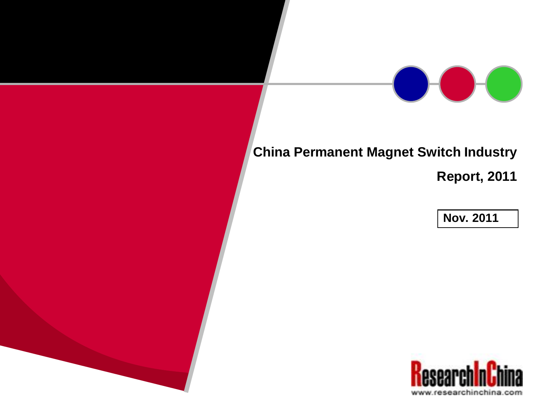### **China Permanent Magnet Switch Industry**

**Report, 2011**

**Nov. 2011**

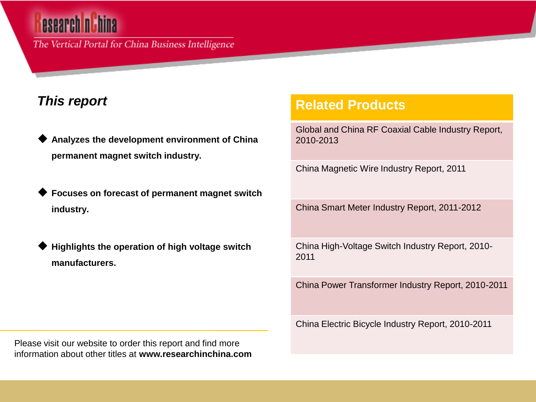# esearch ni hina

The Vertical Portal for China Business Intelligence

### *This report*

- **Analyzes the development environment of China permanent magnet switch industry.**
- **Focuses on forecast of permanent magnet switch industry.**
- **Highlights the operation of high voltage switch manufacturers.**

### **Related Products**

Global and China RF Coaxial Cable Industry Report, 2010-2013

China Magnetic Wire Industry Report, 2011

China Smart Meter Industry Report, 2011-2012

China High-Voltage Switch Industry Report, 2010- 2011

China Power Transformer Industry Report, 2010-2011

China Electric Bicycle Industry Report, 2010-2011

Please visit our website to order this report and find more information about other titles at **www.researchinchina.com**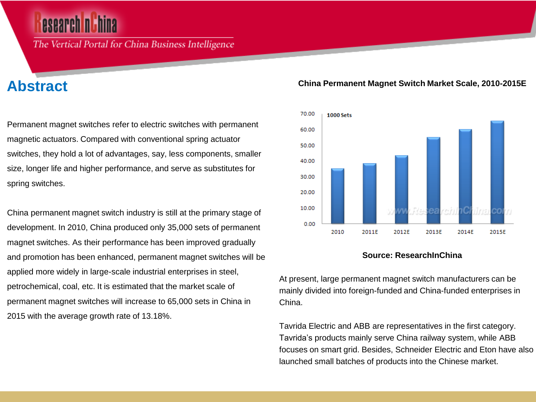The Vertical Portal for China Business Intelligence

### **Abstract**

Permanent magnet switches refer to electric switches with permanent magnetic actuators. Compared with conventional spring actuator switches, they hold a lot of advantages, say, less components, smaller size, longer life and higher performance, and serve as substitutes for spring switches.

China permanent magnet switch industry is still at the primary stage of development. In 2010, China produced only 35,000 sets of permanent magnet switches. As their performance has been improved gradually and promotion has been enhanced, permanent magnet switches will be applied more widely in large-scale industrial enterprises in steel, petrochemical, coal, etc. It is estimated that the market scale of permanent magnet switches will increase to 65,000 sets in China in 2015 with the average growth rate of 13.18%.

#### **China Permanent Magnet Switch Market Scale, 2010-2015E**



#### **Source: ResearchInChina**

At present, large permanent magnet switch manufacturers can be mainly divided into foreign-funded and China-funded enterprises in China.

Tavrida Electric and ABB are representatives in the first category. Tavrida's products mainly serve China railway system, while ABB focuses on smart grid. Besides, Schneider Electric and Eton have also launched small batches of products into the Chinese market.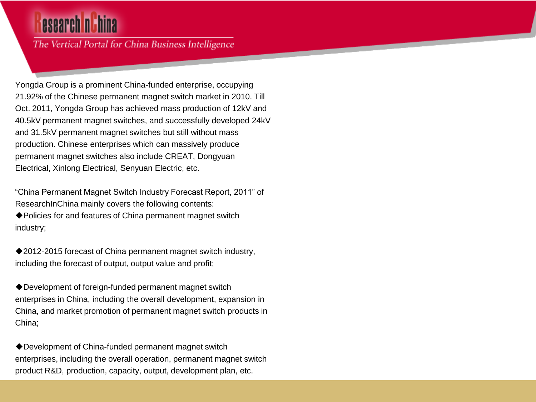## esearch nu hina

The Vertical Portal for China Business Intelligence

Yongda Group is a prominent China-funded enterprise, occupying 21.92% of the Chinese permanent magnet switch market in 2010. Till Oct. 2011, Yongda Group has achieved mass production of 12kV and 40.5kV permanent magnet switches, and successfully developed 24kV and 31.5kV permanent magnet switches but still without mass production. Chinese enterprises which can massively produce permanent magnet switches also include CREAT, Dongyuan Electrical, Xinlong Electrical, Senyuan Electric, etc.

"China Permanent Magnet Switch Industry Forecast Report, 2011" of ResearchInChina mainly covers the following contents:

◆ Policies for and features of China permanent magnet switch industry;

◆2012-2015 forecast of China permanent magnet switch industry, including the forecast of output, output value and profit;

Development of foreign-funded permanent magnet switch enterprises in China, including the overall development, expansion in China, and market promotion of permanent magnet switch products in China;

Development of China-funded permanent magnet switch enterprises, including the overall operation, permanent magnet switch product R&D, production, capacity, output, development plan, etc.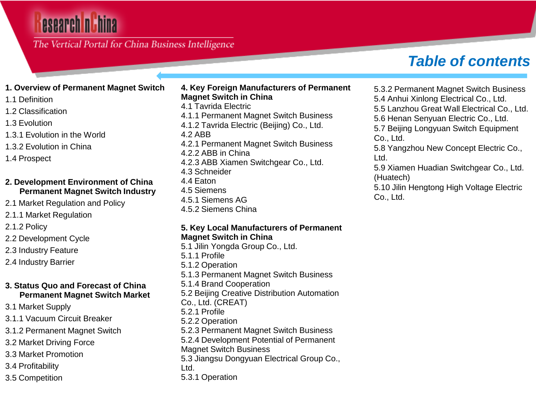## esearch n

The Vertical Portal for China Business Intelligence

## *Table of contents*

#### **1. Overview of Permanent Magnet Switch**

1.1 Definition

- 1.2 Classification
- 1.3 Evolution
- 1.3.1 Evolution in the World
- 1.3.2 Evolution in China
- 1.4 Prospect

#### **2. Development Environment of China Permanent Magnet Switch Industry**

2.1 Market Regulation and Policy

2.1.1 Market Regulation

2.1.2 Policy

2.2 Development Cycle

2.3 Industry Feature

2.4 Industry Barrier

#### **3. Status Quo and Forecast of China Permanent Magnet Switch Market**

- 3.1 Market Supply
- 3.1.1 Vacuum Circuit Breaker

3.1.2 Permanent Magnet Switch

- 3.2 Market Driving Force
- 3.3 Market Promotion
- 3.4 Profitability
- 3.5 Competition

#### **4. Key Foreign Manufacturers of Permanent Magnet Switch in China**

- 4.1 Tavrida Electric 4.1.1 Permanent Magnet Switch Business
- 4.1.2 Tavrida Electric (Beijing) Co., Ltd.
- 4.2 ABB
- 4.2.1 Permanent Magnet Switch Business 4.2.2 ABB in China
- 4.2.3 ABB Xiamen Switchgear Co., Ltd.
- 4.3 Schneider
- 4.4 Eaton
- 4.5 Siemens
- 4.5.1 Siemens AG
- 4.5.2 Siemens China

#### **5. Key Local Manufacturers of Permanent Magnet Switch in China**

5.1 Jilin Yongda Group Co., Ltd. 5.1.1 Profile 5.1.2 Operation 5.1.3 Permanent Magnet Switch Business 5.1.4 Brand Cooperation 5.2 Beijing Creative Distribution Automation Co., Ltd. (CREAT) 5.2.1 Profile 5.2.2 Operation 5.2.3 Permanent Magnet Switch Business 5.2.4 Development Potential of Permanent Magnet Switch Business 5.3 Jiangsu Dongyuan Electrical Group Co., Ltd. 5.3.1 Operation

5.3.2 Permanent Magnet Switch Business

5.4 Anhui Xinlong Electrical Co., Ltd.

5.5 Lanzhou Great Wall Electrical Co., Ltd.

5.6 Henan Senyuan Electric Co., Ltd.

5.7 Beijing Longyuan Switch Equipment Co., Ltd.

5.8 Yangzhou New Concept Electric Co., Ltd.

5.9 Xiamen Huadian Switchgear Co., Ltd. (Huatech)

5.10 Jilin Hengtong High Voltage Electric Co., Ltd.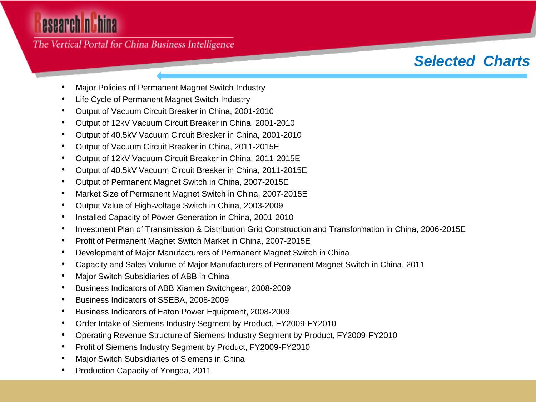# esearch nuhina

The Vertical Portal for China Business Intelligence

## *Selected Charts*

- Major Policies of Permanent Magnet Switch Industry
- Life Cycle of Permanent Magnet Switch Industry
- Output of Vacuum Circuit Breaker in China, 2001-2010
- Output of 12kV Vacuum Circuit Breaker in China, 2001-2010
- Output of 40.5kV Vacuum Circuit Breaker in China, 2001-2010
- Output of Vacuum Circuit Breaker in China, 2011-2015E
- Output of 12kV Vacuum Circuit Breaker in China, 2011-2015E
- Output of 40.5kV Vacuum Circuit Breaker in China, 2011-2015E
- Output of Permanent Magnet Switch in China, 2007-2015E
- Market Size of Permanent Magnet Switch in China, 2007-2015E
- Output Value of High-voltage Switch in China, 2003-2009
- Installed Capacity of Power Generation in China, 2001-2010
- Investment Plan of Transmission & Distribution Grid Construction and Transformation in China, 2006-2015E
- Profit of Permanent Magnet Switch Market in China, 2007-2015E
- Development of Major Manufacturers of Permanent Magnet Switch in China
- Capacity and Sales Volume of Major Manufacturers of Permanent Magnet Switch in China, 2011
- Major Switch Subsidiaries of ABB in China
- Business Indicators of ABB Xiamen Switchgear, 2008-2009
- Business Indicators of SSEBA, 2008-2009
- Business Indicators of Eaton Power Equipment, 2008-2009
- Order Intake of Siemens Industry Segment by Product, FY2009-FY2010
- Operating Revenue Structure of Siemens Industry Segment by Product, FY2009-FY2010
- Profit of Siemens Industry Segment by Product, FY2009-FY2010
- Major Switch Subsidiaries of Siemens in China
- Production Capacity of Yongda, 2011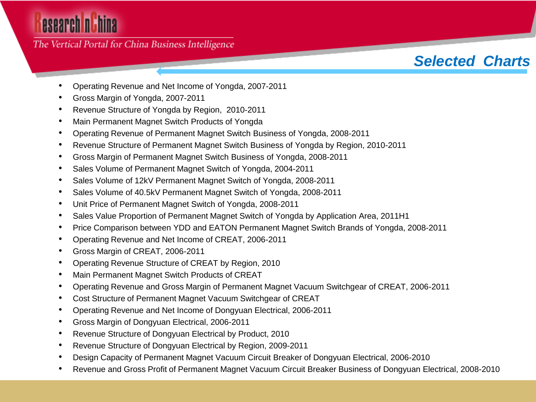# esearch nuhina

The Vertical Portal for China Business Intelligence

## *Selected Charts*

- Operating Revenue and Net Income of Yongda, 2007-2011
- Gross Margin of Yongda, 2007-2011
- Revenue Structure of Yongda by Region, 2010-2011
- Main Permanent Magnet Switch Products of Yongda
- Operating Revenue of Permanent Magnet Switch Business of Yongda, 2008-2011
- Revenue Structure of Permanent Magnet Switch Business of Yongda by Region, 2010-2011
- Gross Margin of Permanent Magnet Switch Business of Yongda, 2008-2011
- Sales Volume of Permanent Magnet Switch of Yongda, 2004-2011
- Sales Volume of 12kV Permanent Magnet Switch of Yongda, 2008-2011
- Sales Volume of 40.5kV Permanent Magnet Switch of Yongda, 2008-2011
- Unit Price of Permanent Magnet Switch of Yongda, 2008-2011
- Sales Value Proportion of Permanent Magnet Switch of Yongda by Application Area, 2011H1
- Price Comparison between YDD and EATON Permanent Magnet Switch Brands of Yongda, 2008-2011
- Operating Revenue and Net Income of CREAT, 2006-2011
- Gross Margin of CREAT, 2006-2011
- Operating Revenue Structure of CREAT by Region, 2010
- Main Permanent Magnet Switch Products of CREAT
- Operating Revenue and Gross Margin of Permanent Magnet Vacuum Switchgear of CREAT, 2006-2011
- Cost Structure of Permanent Magnet Vacuum Switchgear of CREAT
- Operating Revenue and Net Income of Dongyuan Electrical, 2006-2011
- Gross Margin of Dongyuan Electrical, 2006-2011
- Revenue Structure of Dongyuan Electrical by Product, 2010
- Revenue Structure of Dongyuan Electrical by Region, 2009-2011
- Design Capacity of Permanent Magnet Vacuum Circuit Breaker of Dongyuan Electrical, 2006-2010
- Revenue and Gross Profit of Permanent Magnet Vacuum Circuit Breaker Business of Dongyuan Electrical, 2008-2010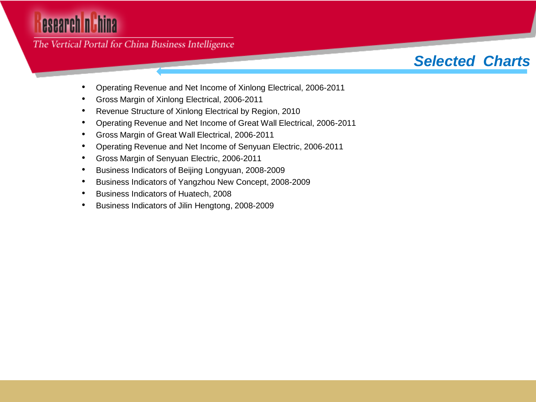# esearch nuhina

The Vertical Portal for China Business Intelligence

## *Selected Charts*

- Operating Revenue and Net Income of Xinlong Electrical, 2006-2011
- Gross Margin of Xinlong Electrical, 2006-2011
- Revenue Structure of Xinlong Electrical by Region, 2010
- Operating Revenue and Net Income of Great Wall Electrical, 2006-2011
- Gross Margin of Great Wall Electrical, 2006-2011
- Operating Revenue and Net Income of Senyuan Electric, 2006-2011
- Gross Margin of Senyuan Electric, 2006-2011
- Business Indicators of Beijing Longyuan, 2008-2009
- Business Indicators of Yangzhou New Concept, 2008-2009
- Business Indicators of Huatech, 2008
- Business Indicators of Jilin Hengtong, 2008-2009